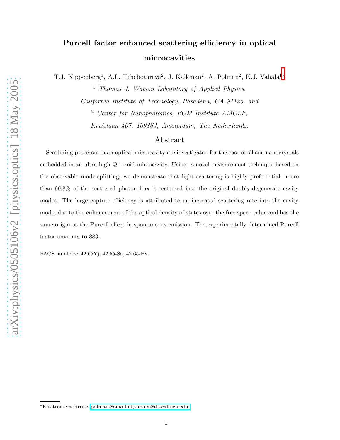## Purcell factor enhanced scattering efficiency in optical microcavities

T.J. Kippenberg<sup>1</sup>, A.L. Tchebotareva<sup>2</sup>, J. Kalkman<sup>2</sup>, A. Polman<sup>2</sup>, K.J. Vahala<sup>1\*</sup>

<sup>1</sup> Thomas J. Watson Laboratory of Applied Physics, California Institute of Technology, Pasadena, CA 91125. and <sup>2</sup> Center for Nanophotonics, FOM Institute AMOLF, Kruislaan 407, 1098SJ, Amsterdam, The Netherlands.

## Abstract

Scattering processes in an optical microcavity are investigated for the case of silicon nanocrystals embedded in an ultra-high Q toroid microcavity. Using a novel measurement technique based on the observable mode-splitting, we demonstrate that light scattering is highly preferential: more than 99.8% of the scattered photon flux is scattered into the original doubly-degenerate cavity modes. The large capture efficiency is attributed to an increased scattering rate into the cavity mode, due to the enhancement of the optical density of states over the free space value and has the same origin as the Purcell effect in spontaneous emission. The experimentally determined Purcell factor amounts to 883.

PACS numbers: 42.65Yj, 42.55-Sa, 42.65-Hw

<span id="page-0-0"></span><sup>∗</sup>Electronic address: [polman@amolf.nl,vahala@its.caltech.edu,](mailto:polman@amolf.nl,vahala@its.caltech.edu,)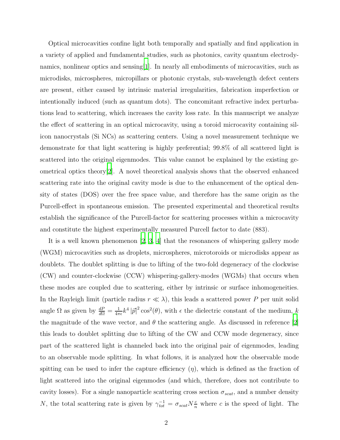Optical microcavities confine light both temporally and spatially and find application in a variety of applied and fundamental studies, such as photonics, cavity quantum electrodynamics, nonlinear optics and sensing[\[1\]](#page-7-0). In nearly all embodiments of microcavities, such as microdisks, microspheres, micropillars or photonic crystals, sub-wavelength defect centers are present, either caused by intrinsic material irregularities, fabrication imperfection or intentionally induced (such as quantum dots). The concomitant refractive index perturbations lead to scattering, which increases the cavity loss rate. In this manuscript we analyze the effect of scattering in an optical microcavity, using a toroid microcavity containing silicon nanocrystals (Si NCs) as scattering centers. Using a novel measurement technique we demonstrate for that light scattering is highly preferential; 99.8% of all scattered light is scattered into the original eigenmodes. This value cannot be explained by the existing geometrical optics theory[\[2](#page-7-1)]. A novel theoretical analysis shows that the observed enhanced scattering rate into the original cavity mode is due to the enhancement of the optical density of states (DOS) over the free space value, and therefore has the same origin as the Purcell-effect in spontaneous emission. The presented experimental and theoretical results establish the significance of the Purcell-factor for scattering processes within a microcavity and constitute the highest experimentally measured Purcell factor to date (883).

It is a well known phenomenon [\[2](#page-7-1), [3](#page-7-2), [4\]](#page-7-3) that the resonances of whispering gallery mode (WGM) microcavities such as droplets, microspheres, microtoroids or microdisks appear as doublets. The doublet splitting is due to lifting of the two-fold degeneracy of the clockwise (CW) and counter-clockwise (CCW) whispering-gallery-modes (WGMs) that occurs when these modes are coupled due to scattering, either by intrinsic or surface inhomogeneities. In the Rayleigh limit (particle radius  $r \ll \lambda$ ), this leads a scattered power P per unit solid angle  $\Omega$  as given by  $\frac{dP}{d\Omega} = \frac{1}{4\pi}$  $\frac{1}{4\pi\epsilon}k^4|\vec{p}|^2\cos^2(\theta)$ , with  $\epsilon$  the dielectric constant of the medium, k the magnitude of the wave vector, and  $\theta$  the scattering angle. As discussed in reference [\[2\]](#page-7-1) this leads to doublet splitting due to lifting of the CW and CCW mode degeneracy, since part of the scattered light is channeled back into the original pair of eigenmodes, leading to an observable mode splitting. In what follows, it is analyzed how the observable mode spitting can be used to infer the capture efficiency  $(\eta)$ , which is defined as the fraction of light scattered into the original eigenmodes (and which, therefore, does not contribute to cavity losses). For a single nanoparticle scattering cross section  $\sigma_{scat}$ , and a number density N, the total scattering rate is given by  $\gamma_{tot}^{-1} = \sigma_{scat} N_{\overline{n}}^c$  where c is the speed of light. The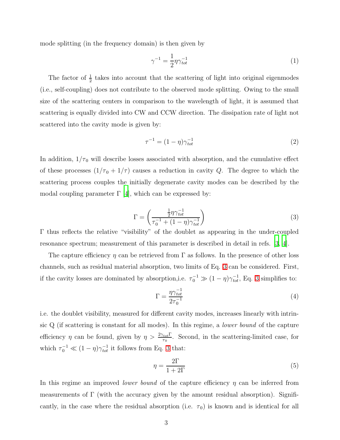mode splitting (in the frequency domain) is then given by

$$
\gamma^{-1} = \frac{1}{2} \eta \gamma_{tot}^{-1} \tag{1}
$$

The factor of  $\frac{1}{2}$  takes into account that the scattering of light into original eigenmodes (i.e., self-coupling) does not contribute to the observed mode splitting. Owing to the small size of the scattering centers in comparison to the wavelength of light, it is assumed that scattering is equally divided into CW and CCW direction. The dissipation rate of light not scattered into the cavity mode is given by:

$$
\tau^{-1} = (1 - \eta)\gamma_{tot}^{-1}
$$
 (2)

<span id="page-2-0"></span>In addition,  $1/\tau_0$  will describe losses associated with absorption, and the cumulative effect of these processes  $(1/\tau_0 + 1/\tau)$  causes a reduction in cavity Q. The degree to which the scattering process couples the initially degenerate cavity modes can be described by the modal coupling parameter  $\Gamma$  [\[4\]](#page-7-3), which can be expressed by:

$$
\Gamma = \left(\frac{\frac{1}{2}\eta\gamma_{tot}^{-1}}{\tau_0^{-1} + (1-\eta)\gamma_{tot}^{-1}}\right)
$$
\n(3)

Γ thus reflects the relative "visibility" of the doublet as appearing in the under-coupled resonance spectrum; measurement of this parameter is described in detail in refs. [\[3,](#page-7-2) [4](#page-7-3)].

The capture efficiency  $\eta$  can be retrieved from  $\Gamma$  as follows. In the presence of other loss channels, such as residual material absorption, two limits of Eq. [3](#page-2-0) can be considered. First, if the cavity losses are dominated by absorption, i.e.  $\tau_0^{-1} \gg (1 - \eta) \gamma_{tot}^{-1}$ , Eq. [3](#page-2-0) simplifies to:

<span id="page-2-2"></span>
$$
\Gamma = \frac{\eta \gamma_{tot}^{-1}}{2\tau_0^{-1}}\tag{4}
$$

i.e. the doublet visibility, measured for different cavity modes, increases linearly with intrinsic Q (if scattering is constant for all modes). In this regime, a lower bound of the capture efficiency  $\eta$  can be found, given by  $\eta > \frac{2\gamma_{tot} \Gamma}{\tau_0}$ . Second, in the scattering-limited case, for which  $\tau_0^{-1} \ll (1 - \eta) \gamma_{tot}^{-1}$  it follows from Eq. [3](#page-2-0) that:

<span id="page-2-1"></span>
$$
\eta = \frac{2\Gamma}{1 + 2\Gamma} \tag{5}
$$

In this regime an improved *lower bound* of the capture efficiency  $\eta$  can be inferred from measurements of  $\Gamma$  (with the accuracy given by the amount residual absorption). Significantly, in the case where the residual absorption (i.e.  $\tau_0$ ) is known and is identical for all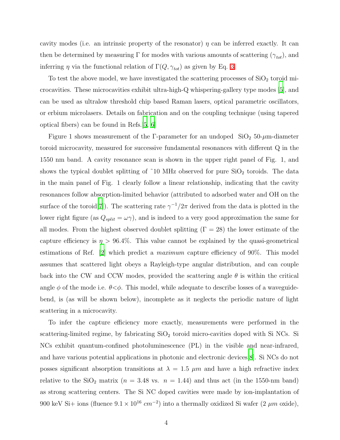cavity modes (i.e. an intrinsic property of the resonator)  $\eta$  can be inferred exactly. It can then be determined by measuring  $\Gamma$  for modes with various amounts of scattering  $(\gamma_{tot})$ , and inferring  $\eta$  via the functional relation of  $\Gamma(Q, \gamma_{tot})$  as given by Eq. [3.](#page-2-0)

To test the above model, we have investigated the scattering processes of  $SiO<sub>2</sub>$  toroid microcavities. These microcavities exhibit ultra-high-Q whispering-gallery type modes [\[5\]](#page-8-0), and can be used as ultralow threshold chip based Raman lasers, optical parametric oscillators, or erbium microlasers. Details on fabrication and on the coupling technique (using tapered optical fibers) can be found in Refs.[\[5,](#page-8-0) [6\]](#page-8-1)

Figure 1 shows measurement of the Γ-parameter for an undoped  $\text{SiO}_2$  50- $\mu$ m-diameter toroid microcavity, measured for successive fundamental resonances with different Q in the 1550 nm band. A cavity resonance scan is shown in the upper right panel of Fig. 1, and shows the typical doublet splitting of  $\tilde{10}$  MHz observed for pure  $\text{SiO}_2$  toroids. The data in the main panel of Fig. 1 clearly follow a linear relationship, indicating that the cavity resonances follow absorption-limited behavior (attributed to adsorbed water and OH on the surface of the toroid<sup>[\[7\]](#page-8-2)</sup>). The scattering rate  $\gamma^{-1}/2\pi$  derived from the data is plotted in the lower right figure (as  $Q_{split} = \omega \gamma$ ), and is indeed to a very good approximation the same for all modes. From the highest observed doublet splitting ( $\Gamma = 28$ ) the lower estimate of the capture efficiency is  $\eta > 96.4\%$ . This value cannot be explained by the quasi-geometrical estimations of Ref. [\[2](#page-7-1)] which predict a maximum capture efficiency of 90%. This model assumes that scattered light obeys a Rayleigh-type angular distribution, and can couple back into the CW and CCW modes, provided the scattering angle  $\theta$  is within the critical angle  $\phi$  of the mode i.e.  $\theta \leq \phi$ . This model, while adequate to describe losses of a waveguidebend, is (as will be shown below), incomplete as it neglects the periodic nature of light scattering in a microcavity.

To infer the capture efficiency more exactly, measurements were performed in the scattering-limited regime, by fabricating  $SiO<sub>2</sub>$  toroid micro-cavities doped with Si NCs. Si NCs exhibit quantum-confined photoluminescence (PL) in the visible and near-infrared, and have various potential applications in photonic and electronic devices[\[8](#page-8-3)]. Si NCs do not posses significant absorption transitions at  $\lambda = 1.5 \ \mu m$  and have a high refractive index relative to the  $SiO_2$  matrix ( $n = 3.48$  vs.  $n = 1.44$ ) and thus act (in the 1550-nm band) as strong scattering centers. The Si NC doped cavities were made by ion-implantation of 900 keV Si+ ions (fluence  $9.1 \times 10^{16}$  cm<sup>-2</sup>) into a thermally oxidized Si wafer (2  $\mu$ m oxide),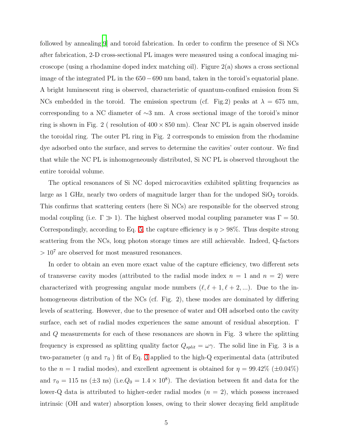followed by annealing[\[9\]](#page-8-4) and toroid fabrication. In order to confirm the presence of Si NCs after fabrication, 2-D cross-sectional PL images were measured using a confocal imaging microscope (using a rhodamine doped index matching oil). Figure 2(a) shows a cross sectional image of the integrated PL in the 650−690 nm band, taken in the toroid's equatorial plane. A bright luminescent ring is observed, characteristic of quantum-confined emission from Si NCs embedded in the toroid. The emission spectrum (cf. Fig.2) peaks at  $\lambda = 675$  nm, corresponding to a NC diameter of ∼3 nm. A cross sectional image of the toroid's minor ring is shown in Fig. 2 (resolution of  $400 \times 850$  nm). Clear NC PL is again observed inside the toroidal ring. The outer PL ring in Fig. 2 corresponds to emission from the rhodamine dye adsorbed onto the surface, and serves to determine the cavities' outer contour. We find that while the NC PL is inhomogeneously distributed, Si NC PL is observed throughout the entire toroidal volume.

The optical resonances of Si NC doped microcavities exhibited splitting frequencies as large as 1 GHz, nearly two orders of magnitude larger than for the undoped  $\text{SiO}_2$  toroids. This confirms that scattering centers (here Si NCs) are responsible for the observed strong modal coupling (i.e.  $\Gamma \gg 1$ ). The highest observed modal coupling parameter was  $\Gamma = 50$ . Correspondingly, according to Eq. [5,](#page-2-1) the capture efficiency is  $\eta > 98\%$ . Thus despite strong scattering from the NCs, long photon storage times are still achievable. Indeed, Q-factors  $> 10<sup>7</sup>$  are observed for most measured resonances.

In order to obtain an even more exact value of the capture efficiency, two different sets of transverse cavity modes (attributed to the radial mode index  $n = 1$  and  $n = 2$ ) were characterized with progressing angular mode numbers  $(\ell, \ell+1, \ell+2, ...)$ . Due to the inhomogeneous distribution of the NCs (cf. Fig. 2), these modes are dominated by differing levels of scattering. However, due to the presence of water and OH adsorbed onto the cavity surface, each set of radial modes experiences the same amount of residual absorption. Γ and Q measurements for each of these resonances are shown in Fig. 3 where the splitting frequency is expressed as splitting quality factor  $Q_{split} = \omega \gamma$ . The solid line in Fig. 3 is a two-parameter ( $\eta$  and  $\tau_0$ ) fit of Eq. [3](#page-2-0) applied to the high-Q experimental data (attributed to the  $n = 1$  radial modes), and excellent agreement is obtained for  $\eta = 99.42\%$  ( $\pm 0.04\%$ ) and  $\tau_0 = 115$  ns ( $\pm 3$  ns) (i.e. $Q_0 = 1.4 \times 10^8$ ). The deviation between fit and data for the lower-Q data is attributed to higher-order radial modes  $(n = 2)$ , which possess increased intrinsic (OH and water) absorption losses, owing to their slower decaying field amplitude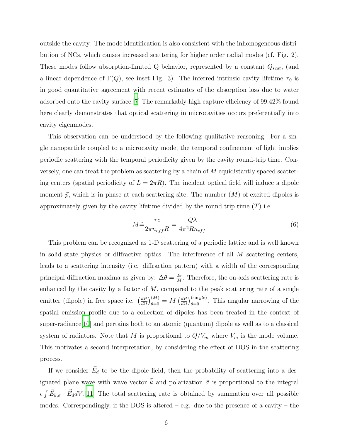outside the cavity. The mode identification is also consistent with the inhomogeneous distribution of NCs, which causes increased scattering for higher order radial modes (cf. Fig. 2). These modes follow absorption-limited  $Q$  behavior, represented by a constant  $Q_{scat}$ , (and a linear dependence of  $\Gamma(Q)$ , see inset Fig. 3). The inferred intrinsic cavity lifetime  $\tau_0$  is in good quantitative agreement with recent estimates of the absorption loss due to water adsorbed onto the cavity surface.[\[7\]](#page-8-2) The remarkably high capture efficiency of 99.42% found here clearly demonstrates that optical scattering in microcavities occurs preferentially into cavity eigenmodes.

This observation can be understood by the following qualitative reasoning. For a single nanoparticle coupled to a microcavity mode, the temporal confinement of light implies periodic scattering with the temporal periodicity given by the cavity round-trip time. Conversely, one can treat the problem as scattering by a chain of M equidistantly spaced scattering centers (spatial periodicity of  $L = 2\pi R$ ). The incident optical field will induce a dipole moment  $\vec{p}$ , which is in phase at each scattering site. The number  $(M)$  of excited dipoles is approximately given by the cavity lifetime divided by the round trip time  $(T)$  i.e.

$$
M \tilde{=} \frac{\tau c}{2\pi n_{eff} R} = \frac{Q\lambda}{4\pi^2 R n_{eff}}\tag{6}
$$

This problem can be recognized as 1-D scattering of a periodic lattice and is well known in solid state physics or diffractive optics. The interference of all  $M$  scattering centers, leads to a scattering intensity (i.e. diffraction pattern) with a width of the corresponding principal diffraction maxima as given by:  $\Delta\theta = \frac{2\pi}{M}$  $\frac{2\pi}{M}$ . Therefore, the on-axis scattering rate is enhanced by the cavity by a factor of  $M$ , compared to the peak scattering rate of a single emitter (dipole) in free space i.e.  $\left(\frac{dP}{dQ}\right)$  $\left(\frac{dP}{d\Omega}\right)_{\theta=0}^{(M)}=M\left(\frac{dP}{d\Omega}\right)$  $\frac{dP}{d\Omega}$ ) $_{\theta=0}^{(\sin g l e)}$ . This angular narrowing of the spatial emission profile due to a collection of dipoles has been treated in the context of super-radiance  $[10]$  $[10]$  and pertains both to an atomic (quantum) dipole as well as to a classical system of radiators. Note that M is proportional to  $Q/V_m$  where  $V_m$  is the mode volume. This motivates a second interpretation, by considering the effect of DOS in the scattering process.

If we consider  $\vec{E}_d$  to be the dipole field, then the probability of scattering into a designated plane wave with wave vector  $\vec{k}$  and polarization  $\vec{\sigma}$  is proportional to the integral  $\epsilon \int \vec{E}_{k,\sigma} \cdot \vec{E}_d dV$ .[\[11\]](#page-8-6) The total scattering rate is obtained by summation over all possible modes. Correspondingly, if the DOS is altered – e.g. due to the presence of a cavity – the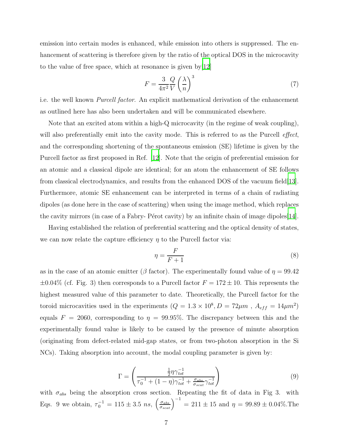emission into certain modes is enhanced, while emission into others is suppressed. The enhancement of scattering is therefore given by the ratio of the optical DOS in the microcavity to the value of free space, which at resonance is given by[\[12\]](#page-8-7)

$$
F = \frac{3}{4\pi^2} \frac{Q}{V} \left(\frac{\lambda}{n}\right)^3 \tag{7}
$$

i.e. the well known Purcell factor. An explicit mathematical derivation of the enhancement as outlined here has also been undertaken and will be communicated elsewhere.

Note that an excited atom within a high-Q microcavity (in the regime of weak coupling), will also preferentially emit into the cavity mode. This is referred to as the Purcell *effect*, and the corresponding shortening of the spontaneous emission (SE) lifetime is given by the Purcell factor as first proposed in Ref. [\[12\]](#page-8-7). Note that the origin of preferential emission for an atomic and a classical dipole are identical; for an atom the enhancement of SE follows from classical electrodynamics, and results from the enhanced DOS of the vacuum field[\[13\]](#page-8-8). Furthermore, atomic SE enhancement can be interpreted in terms of a chain of radiating dipoles (as done here in the case of scattering) when using the image method, which replaces the cavity mirrors (in case of a Fabry- Pérot cavity) by an infinite chain of image dipoles[\[14\]](#page-8-9).

Having established the relation of preferential scattering and the optical density of states, we can now relate the capture efficiency  $\eta$  to the Purcell factor via:

$$
\eta = \frac{F}{F+1} \tag{8}
$$

as in the case of an atomic emitter ( $\beta$  factor). The experimentally found value of  $\eta = 99.42$  $\pm 0.04\%$  (cf. Fig. 3) then corresponds to a Purcell factor  $F = 172 \pm 10$ . This represents the highest measured value of this parameter to date. Theoretically, the Purcell factor for the toroid microcavities used in the experiments  $(Q = 1.3 \times 10^8, D = 72 \mu m, A_{eff} = 14 \mu m^2)$ equals  $F = 2060$ , corresponding to  $\eta = 99.95\%$ . The discrepancy between this and the experimentally found value is likely to be caused by the presence of minute absorption (originating from defect-related mid-gap states, or from two-photon absorption in the Si NCs). Taking absorption into account, the modal coupling parameter is given by:

$$
\Gamma = \left(\frac{\frac{1}{2}\eta\gamma_{tot}^{-1}}{\tau_0^{-1} + (1-\eta)\gamma_{tot}^{-1} + \frac{\sigma_{abs}}{\sigma_{scat}}\gamma_{tot}^{-1}}\right)
$$
(9)

with  $\sigma_{abs}$  being the absorption cross section. Repeating the fit of data in Fig 3. with Eqs. 9 we obtain,  $\tau_0^{-1} = 115 \pm 3.5 \; ns, \; \left(\frac{\sigma_{abs}}{\sigma_{scat}}\right)^{-1} = 211 \pm 15 \; \text{and} \; \eta = 99.89 \pm 0.04\%.$  The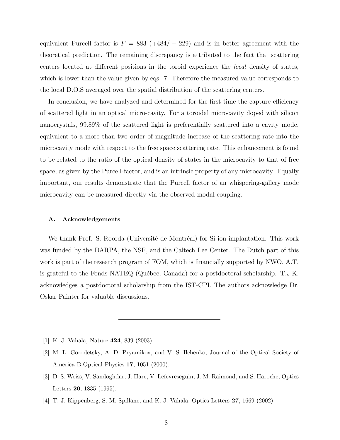equivalent Purcell factor is  $F = 883 (+484/- 229)$  and is in better agreement with the theoretical prediction. The remaining discrepancy is attributed to the fact that scattering centers located at different positions in the toroid experience the local density of states, which is lower than the value given by eqs. 7. Therefore the measured value corresponds to the local D.O.S averaged over the spatial distribution of the scattering centers.

In conclusion, we have analyzed and determined for the first time the capture efficiency of scattered light in an optical micro-cavity. For a toroidal microcavity doped with silicon nanocrystals, 99.89% of the scattered light is preferentially scattered into a cavity mode, equivalent to a more than two order of magnitude increase of the scattering rate into the microcavity mode with respect to the free space scattering rate. This enhancement is found to be related to the ratio of the optical density of states in the microcavity to that of free space, as given by the Purcell-factor, and is an intrinsic property of any microcavity. Equally important, our results demonstrate that the Purcell factor of an whispering-gallery mode microcavity can be measured directly via the observed modal coupling.

## A. Acknowledgements

We thank Prof. S. Roorda (Université de Montréal) for Si ion implantation. This work was funded by the DARPA, the NSF, and the Caltech Lee Center. The Dutch part of this work is part of the research program of FOM, which is financially supported by NWO. A.T. is grateful to the Fonds NATEQ (Québec, Canada) for a postdoctoral scholarship.  $T.J.K.$ acknowledges a postdoctoral scholarship from the IST-CPI. The authors acknowledge Dr. Oskar Painter for valuable discussions.

- <span id="page-7-0"></span>[1] K. J. Vahala, Nature 424, 839 (2003).
- <span id="page-7-1"></span>[2] M. L. Gorodetsky, A. D. Pryamikov, and V. S. Ilchenko, Journal of the Optical Society of America B-Optical Physics 17, 1051 (2000).
- <span id="page-7-2"></span>[3] D. S. Weiss, V. Sandoghdar, J. Hare, V. Lefevreseguin, J. M. Raimond, and S. Haroche, Optics Letters 20, 1835 (1995).
- <span id="page-7-3"></span>[4] T. J. Kippenberg, S. M. Spillane, and K. J. Vahala, Optics Letters 27, 1669 (2002).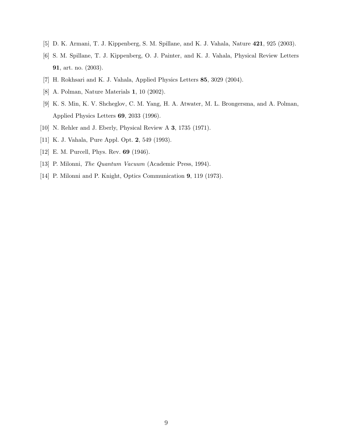- <span id="page-8-1"></span><span id="page-8-0"></span>[5] D. K. Armani, T. J. Kippenberg, S. M. Spillane, and K. J. Vahala, Nature 421, 925 (2003).
- [6] S. M. Spillane, T. J. Kippenberg, O. J. Painter, and K. J. Vahala, Physical Review Letters 91, art. no. (2003).
- <span id="page-8-2"></span>[7] H. Rokhsari and K. J. Vahala, Applied Physics Letters 85, 3029 (2004).
- <span id="page-8-4"></span><span id="page-8-3"></span>[8] A. Polman, Nature Materials 1, 10 (2002).
- [9] K. S. Min, K. V. Shcheglov, C. M. Yang, H. A. Atwater, M. L. Brongersma, and A. Polman, Applied Physics Letters 69, 2033 (1996).
- <span id="page-8-6"></span><span id="page-8-5"></span>[10] N. Rehler and J. Eberly, Physical Review A 3, 1735 (1971).
- <span id="page-8-7"></span>[11] K. J. Vahala, Pure Appl. Opt. 2, 549 (1993).
- <span id="page-8-8"></span>[12] E. M. Purcell, Phys. Rev. 69 (1946).
- <span id="page-8-9"></span>[13] P. Milonni, The Quantum Vacuum (Academic Press, 1994).
- [14] P. Milonni and P. Knight, Optics Communication 9, 119 (1973).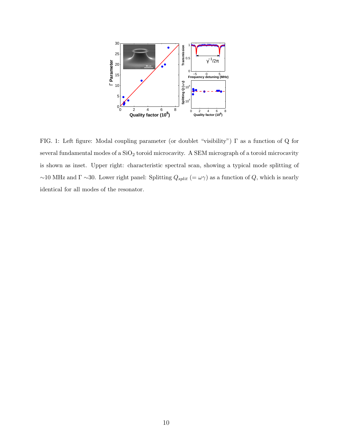

FIG. 1: Left figure: Modal coupling parameter (or doublet "visibility") Γ as a function of Q for several fundamental modes of a  $\rm SiO_2$  toroid microcavity. A SEM micrograph of a toroid microcavity is shown as inset. Upper right: characteristic spectral scan, showing a typical mode splitting of  $~\sim$ 10 MHz and  $\Gamma \sim$ 30. Lower right panel: Splitting  $Q_{split}$  (=  $\omega \gamma$ ) as a function of  $Q$ , which is nearly identical for all modes of the resonator.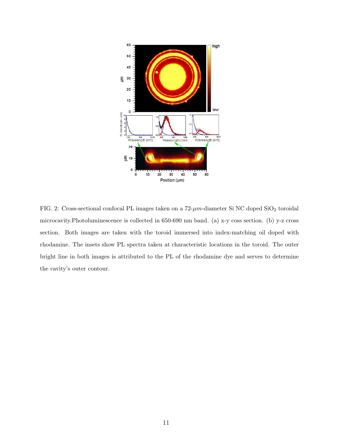

FIG. 2: Cross-sectional confocal PL images taken on a  $72\text{-}\mu m\text{-} \mathrm{diameter}$  Si NC doped  $\mathrm{SiO}_2$  toroidal microcavity.Photoluminescence is collected in 650-690 nm band. (a) x-y coss section. (b) y-z cross section. Both images are taken with the toroid immersed into index-matching oil doped with rhodamine. The insets show PL spectra taken at characteristic locations in the toroid. The outer bright line in both images is attributed to the PL of the rhodamine dye and serves to determine the cavity's outer contour.